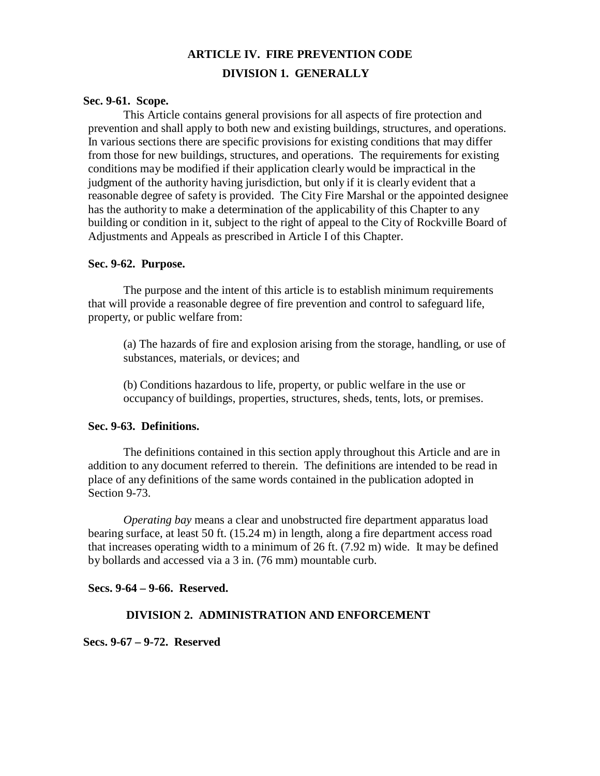# **ARTICLE IV. FIRE PREVENTION CODE DIVISION 1. GENERALLY**

#### **Sec. 9-61. Scope.**

This Article contains general provisions for all aspects of fire protection and prevention and shall apply to both new and existing buildings, structures, and operations. In various sections there are specific provisions for existing conditions that may differ from those for new buildings, structures, and operations. The requirements for existing conditions may be modified if their application clearly would be impractical in the judgment of the authority having jurisdiction, but only if it is clearly evident that a reasonable degree of safety is provided. The City Fire Marshal or the appointed designee has the authority to make a determination of the applicability of this Chapter to any building or condition in it, subject to the right of appeal to the City of Rockville Board of Adjustments and Appeals as prescribed in Article I of this Chapter.

### **Sec. 9-62. Purpose.**

The purpose and the intent of this article is to establish minimum requirements that will provide a reasonable degree of fire prevention and control to safeguard life, property, or public welfare from:

(a) The hazards of fire and explosion arising from the storage, handling, or use of substances, materials, or devices; and

(b) Conditions hazardous to life, property, or public welfare in the use or occupancy of buildings, properties, structures, sheds, tents, lots, or premises.

### **Sec. 9-63. Definitions.**

The definitions contained in this section apply throughout this Article and are in addition to any document referred to therein. The definitions are intended to be read in place of any definitions of the same words contained in the publication adopted in Section 9-73.

*Operating bay* means a clear and unobstructed fire department apparatus load bearing surface, at least 50 ft. (15.24 m) in length, along a fire department access road that increases operating width to a minimum of 26 ft. (7.92 m) wide. It may be defined by bollards and accessed via a 3 in. (76 mm) mountable curb.

**Secs. 9-64 – 9-66. Reserved.**

### **DIVISION 2. ADMINISTRATION AND ENFORCEMENT**

**Secs. 9-67 – 9-72. Reserved**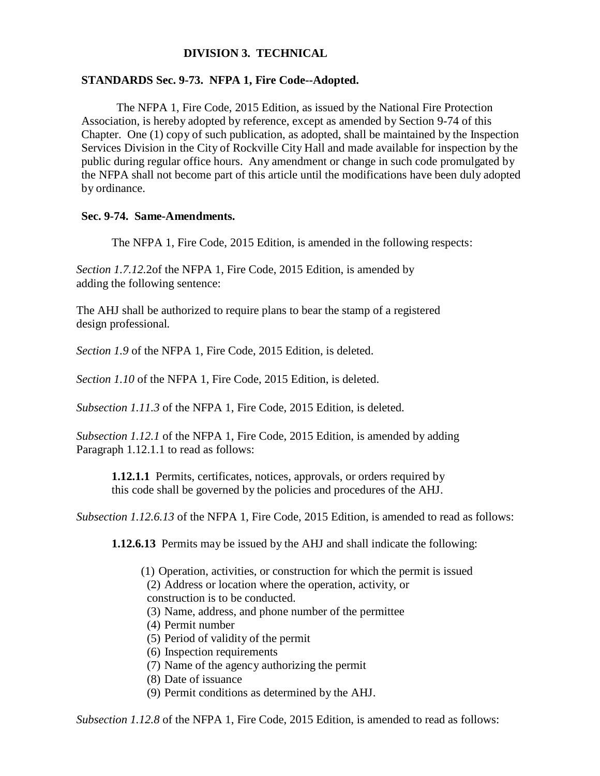# **DIVISION 3. TECHNICAL**

### **STANDARDS Sec. 9-73. NFPA 1, Fire Code--Adopted.**

The NFPA 1, Fire Code, 2015 Edition, as issued by the National Fire Protection Association, is hereby adopted by reference, except as amended by Section 9-74 of this Chapter. One (1) copy of such publication, as adopted, shall be maintained by the Inspection Services Division in the City of Rockville City Hall and made available for inspection by the public during regular office hours. Any amendment or change in such code promulgated by the NFPA shall not become part of this article until the modifications have been duly adopted by ordinance.

### **Sec. 9-74. Same-Amendments.**

The NFPA 1, Fire Code, 2015 Edition, is amended in the following respects:

*Section 1.7.12.*2of the NFPA 1, Fire Code, 2015 Edition, is amended by adding the following sentence:

The AHJ shall be authorized to require plans to bear the stamp of a registered design professional*.*

*Section 1.9* of the NFPA 1, Fire Code, 2015 Edition, is deleted.

*Section 1.10* of the NFPA 1, Fire Code, 2015 Edition, is deleted.

*Subsection 1.11.3* of the NFPA 1, Fire Code, 2015 Edition, is deleted.

*Subsection 1.12.1* of the NFPA 1, Fire Code, 2015 Edition, is amended by adding Paragraph 1.12.1.1 to read as follows:

**1.12.1.1** Permits, certificates, notices, approvals, or orders required by this code shall be governed by the policies and procedures of the AHJ.

*Subsection 1.12.6.13* of the NFPA 1, Fire Code, 2015 Edition, is amended to read as follows:

**1.12.6.13** Permits may be issued by the AHJ and shall indicate the following:

(1) Operation, activities, or construction for which the permit is issued

(2) Address or location where the operation, activity, or

construction is to be conducted.

(3) Name, address, and phone number of the permittee

- (4) Permit number
- (5) Period of validity of the permit
- (6) Inspection requirements
- (7) Name of the agency authorizing the permit
- (8) Date of issuance
- (9) Permit conditions as determined by the AHJ.

*Subsection 1.12.8* of the NFPA 1, Fire Code, 2015 Edition, is amended to read as follows: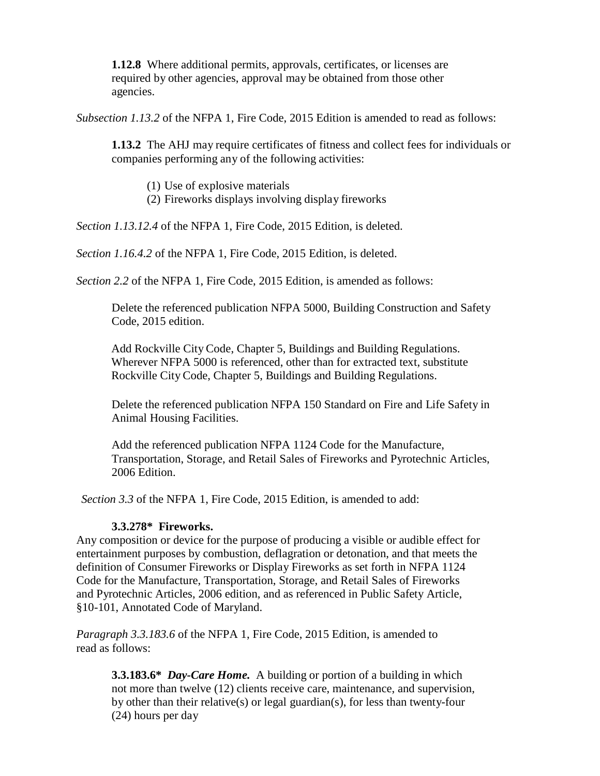**1.12.8** Where additional permits, approvals, certificates, or licenses are required by other agencies, approval may be obtained from those other agencies.

*Subsection 1.13.2* of the NFPA 1, Fire Code, 2015 Edition is amended to read as follows:

**1.13.2** The AHJ may require certificates of fitness and collect fees for individuals or companies performing any of the following activities:

- (1) Use of explosive materials
- (2) Fireworks displays involving display fireworks

*Section 1.13.12.4* of the NFPA 1, Fire Code, 2015 Edition, is deleted.

*Section 1.16.4.2* of the NFPA 1, Fire Code, 2015 Edition, is deleted.

*Section 2.2* of the NFPA 1, Fire Code, 2015 Edition, is amended as follows:

Delete the referenced publication NFPA 5000, Building Construction and Safety Code, 2015 edition.

Add Rockville City Code, Chapter 5, Buildings and Building Regulations. Wherever NFPA 5000 is referenced, other than for extracted text, substitute Rockville City Code, Chapter 5, Buildings and Building Regulations.

Delete the referenced publication NFPA 150 Standard on Fire and Life Safety in Animal Housing Facilities.

Add the referenced publication NFPA 1124 Code for the Manufacture, Transportation, Storage, and Retail Sales of Fireworks and Pyrotechnic Articles, 2006 Edition.

*Section 3.3* of the NFPA 1, Fire Code, 2015 Edition, is amended to add:

### **3.3.278\* Fireworks.**

Any composition or device for the purpose of producing a visible or audible effect for entertainment purposes by combustion, deflagration or detonation, and that meets the definition of Consumer Fireworks or Display Fireworks as set forth in NFPA 1124 Code for the Manufacture, Transportation, Storage, and Retail Sales of Fireworks and Pyrotechnic Articles, 2006 edition, and as referenced in Public Safety Article, §10-101, Annotated Code of Maryland.

*Paragraph 3.3.183.6* of the NFPA 1, Fire Code, 2015 Edition, is amended to read as follows:

**3.3.183.6\*** *Day-Care Home.* A building or portion of a building in which not more than twelve (12) clients receive care, maintenance, and supervision, by other than their relative(s) or legal guardian(s), for less than twenty-four (24) hours per day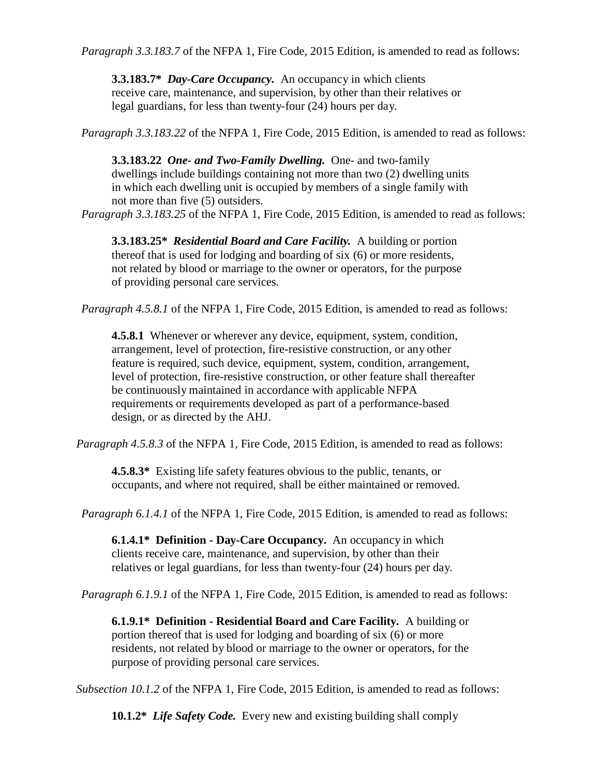*Paragraph 3.3.183.7* of the NFPA 1, Fire Code, 2015 Edition, is amended to read as follows:

**3.3.183.7\*** *Day-Care Occupancy.* An occupancy in which clients receive care, maintenance, and supervision, by other than their relatives or legal guardians, for less than twenty-four (24) hours per day.

*Paragraph 3.3.183.22* of the NFPA 1, Fire Code, 2015 Edition, is amended to read as follows:

**3.3.183.22** *One- and Two-Family Dwelling.* One- and two-family dwellings include buildings containing not more than two (2) dwelling units in which each dwelling unit is occupied by members of a single family with not more than five (5) outsiders.

*Paragraph 3.3.183.25* of the NFPA 1, Fire Code, 2015 Edition, is amended to read as follows:

**3.3.183.25\*** *Residential Board and Care Facility.* A building or portion thereof that is used for lodging and boarding of six (6) or more residents, not related by blood or marriage to the owner or operators, for the purpose of providing personal care services.

*Paragraph 4.5.8.1* of the NFPA 1, Fire Code, 2015 Edition, is amended to read as follows:

**4.5.8.1** Whenever or wherever any device, equipment, system, condition, arrangement, level of protection, fire-resistive construction, or any other feature is required, such device, equipment, system, condition, arrangement, level of protection, fire-resistive construction, or other feature shall thereafter be continuously maintained in accordance with applicable NFPA requirements or requirements developed as part of a performance-based design, or as directed by the AHJ.

*Paragraph 4.5.8.3* of the NFPA 1, Fire Code, 2015 Edition, is amended to read as follows:

**4.5.8.3\*** Existing life safety features obvious to the public, tenants, or occupants, and where not required, shall be either maintained or removed.

*Paragraph 6.1.4.1* of the NFPA 1, Fire Code, 2015 Edition, is amended to read as follows:

**6.1.4.1\* Definition - Day-Care Occupancy.** An occupancy in which clients receive care, maintenance, and supervision, by other than their relatives or legal guardians, for less than twenty-four (24) hours per day.

*Paragraph 6.1.9.1* of the NFPA 1, Fire Code, 2015 Edition, is amended to read as follows:

**6.1.9.1\* Definition - Residential Board and Care Facility***.* A building or portion thereof that is used for lodging and boarding of six (6) or more residents, not related by blood or marriage to the owner or operators, for the purpose of providing personal care services.

*Subsection 10.1.2* of the NFPA 1, Fire Code, 2015 Edition, is amended to read as follows:

**10.1.2\*** *Life Safety Code.* Every new and existing building shall comply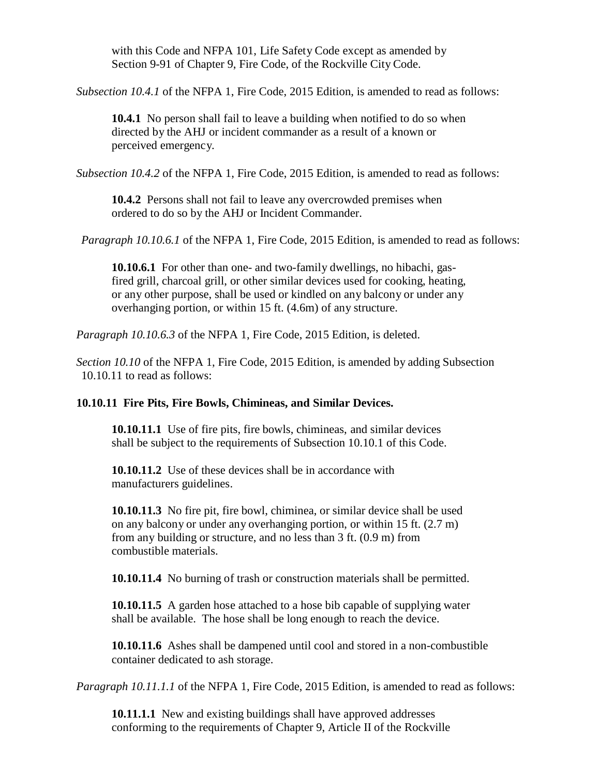with this Code and NFPA 101, Life Safety Code except as amended by Section 9-91 of Chapter 9, Fire Code, of the Rockville City Code.

*Subsection 10.4.1* of the NFPA 1, Fire Code, 2015 Edition, is amended to read as follows:

**10.4.1** No person shall fail to leave a building when notified to do so when directed by the AHJ or incident commander as a result of a known or perceived emergency.

*Subsection 10.4.2* of the NFPA 1, Fire Code, 2015 Edition, is amended to read as follows:

**10.4.2** Persons shall not fail to leave any overcrowded premises when ordered to do so by the AHJ or Incident Commander.

*Paragraph 10.10.6.1* of the NFPA 1, Fire Code, 2015 Edition, is amended to read as follows:

**10.10.6.1** For other than one- and two-family dwellings, no hibachi, gasfired grill, charcoal grill, or other similar devices used for cooking, heating, or any other purpose, shall be used or kindled on any balcony or under any overhanging portion, or within 15 ft. (4.6m) of any structure.

*Paragraph 10.10.6.3* of the NFPA 1, Fire Code, 2015 Edition, is deleted.

*Section 10.10* of the NFPA 1, Fire Code, 2015 Edition, is amended by adding Subsection 10.10.11 to read as follows:

# **10.10.11 Fire Pits, Fire Bowls, Chimineas, and Similar Devices.**

**10.10.11.1** Use of fire pits, fire bowls, chimineas, and similar devices shall be subject to the requirements of Subsection 10.10.1 of this Code.

**10.10.11.2** Use of these devices shall be in accordance with manufacturers guidelines.

**10.10.11.3** No fire pit, fire bowl, chiminea, or similar device shall be used on any balcony or under any overhanging portion, or within 15 ft. (2.7 m) from any building or structure, and no less than 3 ft. (0.9 m) from combustible materials.

**10.10.11.4** No burning of trash or construction materials shall be permitted.

**10.10.11.5** A garden hose attached to a hose bib capable of supplying water shall be available. The hose shall be long enough to reach the device.

**10.10.11.6** Ashes shall be dampened until cool and stored in a non-combustible container dedicated to ash storage.

*Paragraph 10.11.1.1* of the NFPA 1, Fire Code, 2015 Edition, is amended to read as follows:

**10.11.1.1** New and existing buildings shall have approved addresses conforming to the requirements of Chapter 9, Article II of the Rockville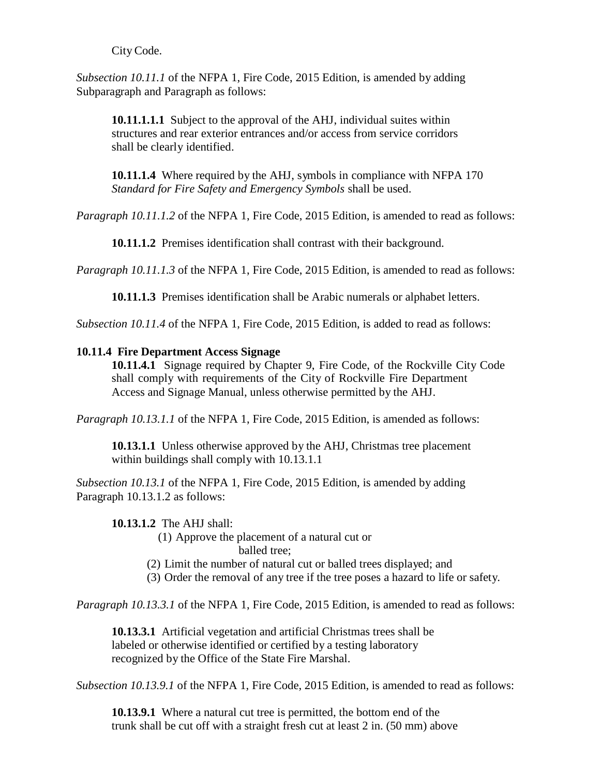City Code.

*Subsection 10.11.1* of the NFPA 1, Fire Code, 2015 Edition, is amended by adding Subparagraph and Paragraph as follows:

**10.11.1.1.1** Subject to the approval of the AHJ, individual suites within structures and rear exterior entrances and/or access from service corridors shall be clearly identified.

**10.11.1.4** Where required by the AHJ, symbols in compliance with NFPA 170 *Standard for Fire Safety and Emergency Symbols* shall be used.

*Paragraph 10.11.1.2* of the NFPA 1, Fire Code, 2015 Edition, is amended to read as follows:

**10.11.1.2** Premises identification shall contrast with their background.

*Paragraph 10.11.1.3* of the NFPA 1, Fire Code, 2015 Edition, is amended to read as follows:

**10.11.1.3** Premises identification shall be Arabic numerals or alphabet letters.

*Subsection 10.11.4* of the NFPA 1, Fire Code, 2015 Edition, is added to read as follows:

#### **10.11.4 Fire Department Access Signage**

**10.11.4.1** Signage required by Chapter 9, Fire Code, of the Rockville City Code shall comply with requirements of the City of Rockville Fire Department Access and Signage Manual, unless otherwise permitted by the AHJ.

*Paragraph 10.13.1.1* of the NFPA 1, Fire Code, 2015 Edition, is amended as follows:

**10.13.1.1** Unless otherwise approved by the AHJ, Christmas tree placement within buildings shall comply with 10.13.1.1

*Subsection 10.13.1* of the NFPA 1, Fire Code, 2015 Edition, is amended by adding Paragraph 10.13.1.2 as follows:

#### **10.13.1.2** The AHJ shall:

(1) Approve the placement of a natural cut or balled tree;

(2) Limit the number of natural cut or balled trees displayed; and

(3) Order the removal of any tree if the tree poses a hazard to life or safety.

*Paragraph 10.13.3.1* of the NFPA 1, Fire Code, 2015 Edition, is amended to read as follows:

**10.13.3.1** Artificial vegetation and artificial Christmas trees shall be labeled or otherwise identified or certified by a testing laboratory recognized by the Office of the State Fire Marshal.

*Subsection 10.13.9.1* of the NFPA 1, Fire Code, 2015 Edition, is amended to read as follows:

**10.13.9.1** Where a natural cut tree is permitted, the bottom end of the trunk shall be cut off with a straight fresh cut at least 2 in. (50 mm) above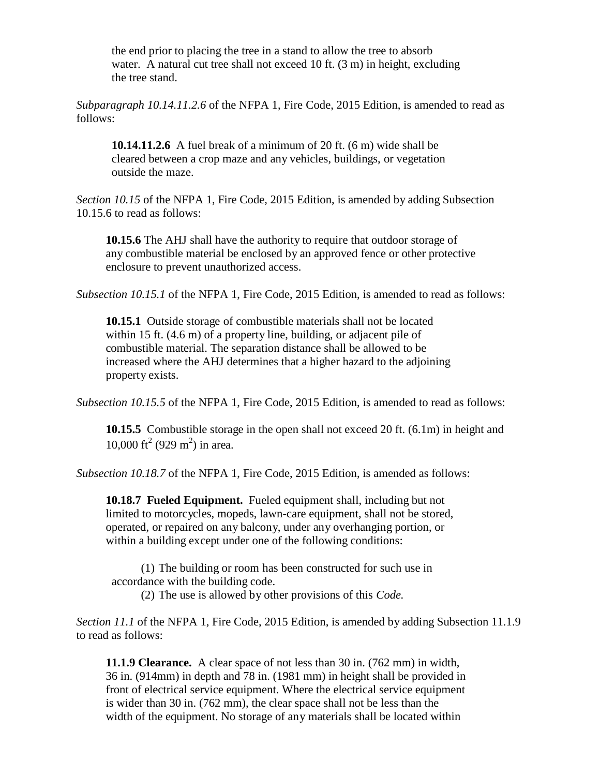the end prior to placing the tree in a stand to allow the tree to absorb water. A natural cut tree shall not exceed 10 ft. (3 m) in height, excluding the tree stand.

*Subparagraph 10.14.11.2.6* of the NFPA 1, Fire Code, 2015 Edition, is amended to read as follows:

**10.14.11.2.6** A fuel break of a minimum of 20 ft. (6 m) wide shall be cleared between a crop maze and any vehicles, buildings, or vegetation outside the maze.

*Section 10.15* of the NFPA 1, Fire Code, 2015 Edition, is amended by adding Subsection 10.15.6 to read as follows:

**10.15.6** The AHJ shall have the authority to require that outdoor storage of any combustible material be enclosed by an approved fence or other protective enclosure to prevent unauthorized access.

*Subsection 10.15.1* of the NFPA 1, Fire Code, 2015 Edition, is amended to read as follows:

**10.15.1** Outside storage of combustible materials shall not be located within 15 ft. (4.6 m) of a property line, building, or adjacent pile of combustible material. The separation distance shall be allowed to be increased where the AHJ determines that a higher hazard to the adjoining property exists.

*Subsection 10.15.5* of the NFPA 1, Fire Code, 2015 Edition, is amended to read as follows:

**10.15.5** Combustible storage in the open shall not exceed 20 ft. (6.1m) in height and 10,000 ft<sup>2</sup> (929 m<sup>2</sup>) in area.

*Subsection 10.18.7* of the NFPA 1, Fire Code, 2015 Edition, is amended as follows:

**10.18.7 Fueled Equipment.** Fueled equipment shall, including but not limited to motorcycles, mopeds, lawn-care equipment, shall not be stored, operated, or repaired on any balcony, under any overhanging portion, or within a building except under one of the following conditions:

(1) The building or room has been constructed for such use in accordance with the building code.

(2) The use is allowed by other provisions of this *Code.*

*Section 11.1* of the NFPA 1, Fire Code, 2015 Edition, is amended by adding Subsection 11.1.9 to read as follows:

**11.1.9 Clearance.** A clear space of not less than 30 in. (762 mm) in width, 36 in. (914mm) in depth and 78 in. (1981 mm) in height shall be provided in front of electrical service equipment. Where the electrical service equipment is wider than 30 in. (762 mm), the clear space shall not be less than the width of the equipment. No storage of any materials shall be located within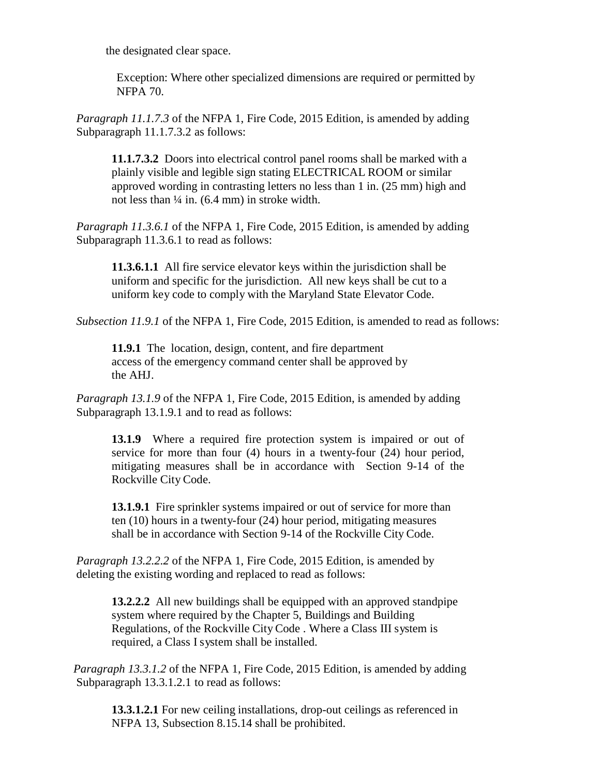the designated clear space.

Exception: Where other specialized dimensions are required or permitted by NFPA 70.

*Paragraph 11.1.7.3* of the NFPA 1, Fire Code, 2015 Edition, is amended by adding Subparagraph 11.1.7.3.2 as follows:

**11.1.7.3.2** Doors into electrical control panel rooms shall be marked with a plainly visible and legible sign stating ELECTRICAL ROOM or similar approved wording in contrasting letters no less than 1 in. (25 mm) high and not less than ¼ in. (6.4 mm) in stroke width.

*Paragraph 11.3.6.1* of the NFPA 1, Fire Code, 2015 Edition, is amended by adding Subparagraph 11.3.6.1 to read as follows:

**11.3.6.1.1** All fire service elevator keys within the jurisdiction shall be uniform and specific for the jurisdiction. All new keys shall be cut to a uniform key code to comply with the Maryland State Elevator Code.

*Subsection 11.9.1* of the NFPA 1, Fire Code, 2015 Edition, is amended to read as follows:

**11.9.1** The location, design, content, and fire department access of the emergency command center shall be approved by the AHJ.

*Paragraph 13.1.9* of the NFPA 1, Fire Code, 2015 Edition, is amended by adding Subparagraph 13.1.9.1 and to read as follows:

**13.1.9** Where a required fire protection system is impaired or out of service for more than four (4) hours in a twenty-four (24) hour period, mitigating measures shall be in accordance with Section 9-14 of the Rockville City Code.

**13.1.9.1** Fire sprinkler systems impaired or out of service for more than ten (10) hours in a twenty-four (24) hour period, mitigating measures shall be in accordance with Section 9-14 of the Rockville City Code.

*Paragraph 13.2.2.2* of the NFPA 1, Fire Code, 2015 Edition, is amended by deleting the existing wording and replaced to read as follows:

**13.2.2.2** All new buildings shall be equipped with an approved standpipe system where required by the Chapter 5, Buildings and Building Regulations, of the Rockville City Code . Where a Class III system is required, a Class I system shall be installed.

*Paragraph 13.3.1.2* of the NFPA 1, Fire Code, 2015 Edition, is amended by adding Subparagraph 13.3.1.2.1 to read as follows:

**13.3.1.2.1** For new ceiling installations, drop-out ceilings as referenced in NFPA 13, Subsection 8.15.14 shall be prohibited.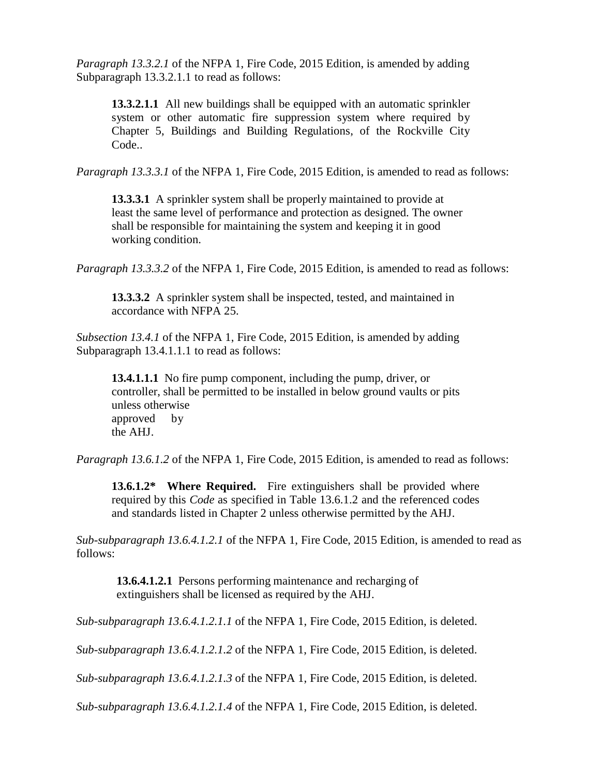*Paragraph 13.3.2.1* of the NFPA 1, Fire Code, 2015 Edition, is amended by adding Subparagraph 13.3.2.1.1 to read as follows:

**13.3.2.1.1** All new buildings shall be equipped with an automatic sprinkler system or other automatic fire suppression system where required by Chapter 5, Buildings and Building Regulations, of the Rockville City Code..

*Paragraph 13.3.3.1* of the NFPA 1, Fire Code, 2015 Edition, is amended to read as follows:

**13.3.3.1** A sprinkler system shall be properly maintained to provide at least the same level of performance and protection as designed. The owner shall be responsible for maintaining the system and keeping it in good working condition.

*Paragraph 13.3.3.2* of the NFPA 1, Fire Code, 2015 Edition, is amended to read as follows:

**13.3.3.2** A sprinkler system shall be inspected, tested, and maintained in accordance with NFPA 25.

*Subsection 13.4.1* of the NFPA 1, Fire Code, 2015 Edition, is amended by adding Subparagraph 13.4.1.1.1 to read as follows:

**13.4.1.1.1** No fire pump component, including the pump, driver, or controller, shall be permitted to be installed in below ground vaults or pits unless otherwise approved by the AHJ.

*Paragraph 13.6.1.2* of the NFPA 1, Fire Code, 2015 Edition, is amended to read as follows:

**13.6.1.2\* Where Required.** Fire extinguishers shall be provided where required by this *Code* as specified in Table 13.6.1.2 and the referenced codes and standards listed in Chapter 2 unless otherwise permitted by the AHJ.

*Sub-subparagraph 13.6.4.1.2.1* of the NFPA 1, Fire Code, 2015 Edition, is amended to read as follows:

**13.6.4.1.2.1** Persons performing maintenance and recharging of extinguishers shall be licensed as required by the AHJ.

*Sub-subparagraph 13.6.4.1.2.1.1* of the NFPA 1, Fire Code, 2015 Edition, is deleted.

*Sub-subparagraph 13.6.4.1.2.1.2* of the NFPA 1, Fire Code, 2015 Edition, is deleted.

*Sub-subparagraph 13.6.4.1.2.1.3* of the NFPA 1, Fire Code, 2015 Edition, is deleted.

*Sub-subparagraph 13.6.4.1.2.1.4* of the NFPA 1, Fire Code, 2015 Edition, is deleted.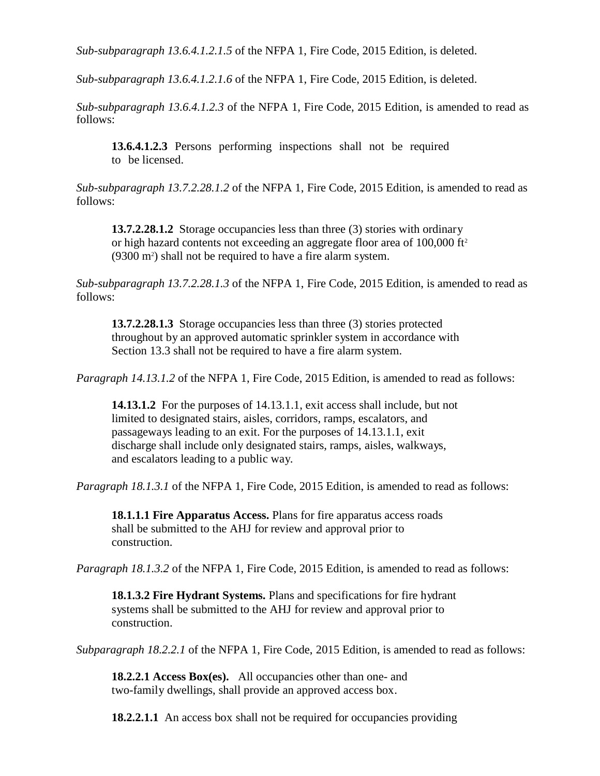*Sub-subparagraph 13.6.4.1.2.1.5* of the NFPA 1, Fire Code, 2015 Edition, is deleted.

*Sub-subparagraph 13.6.4.1.2.1.6* of the NFPA 1, Fire Code, 2015 Edition, is deleted.

*Sub-subparagraph 13.6.4.1.2.3* of the NFPA 1, Fire Code, 2015 Edition, is amended to read as follows:

**13.6.4.1.2.3** Persons performing inspections shall not be required to be licensed.

*Sub-subparagraph 13.7.2.28.1.2* of the NFPA 1, Fire Code, 2015 Edition, is amended to read as follows:

**13.7.2.28.1.2** Storage occupancies less than three (3) stories with ordinary or high hazard contents not exceeding an aggregate floor area of 100,000 ft 2 (9300 m<sup>2</sup>) shall not be required to have a fire alarm system.

*Sub-subparagraph 13.7.2.28.1.3* of the NFPA 1, Fire Code, 2015 Edition, is amended to read as follows:

**13.7.2.28.1.3** Storage occupancies less than three (3) stories protected throughout by an approved automatic sprinkler system in accordance with Section 13.3 shall not be required to have a fire alarm system.

*Paragraph 14.13.1.2* of the NFPA 1, Fire Code, 2015 Edition, is amended to read as follows:

**14.13.1.2** For the purposes of 14.13.1.1, exit access shall include, but not limited to designated stairs, aisles, corridors, ramps, escalators, and passageways leading to an exit. For the purposes of 14.13.1.1, exit discharge shall include only designated stairs, ramps, aisles, walkways, and escalators leading to a public way.

*Paragraph 18.1.3.1* of the NFPA 1, Fire Code, 2015 Edition, is amended to read as follows:

**18.1.1.1 Fire Apparatus Access.** Plans for fire apparatus access roads shall be submitted to the AHJ for review and approval prior to construction.

*Paragraph 18.1.3.2* of the NFPA 1, Fire Code, 2015 Edition, is amended to read as follows:

**18.1.3.2 Fire Hydrant Systems.** Plans and specifications for fire hydrant systems shall be submitted to the AHJ for review and approval prior to construction.

*Subparagraph 18.2.2.1* of the NFPA 1, Fire Code, 2015 Edition, is amended to read as follows:

**18.2.2.1 Access Box(es).** All occupancies other than one- and two-family dwellings, shall provide an approved access box.

**18.2.2.1.1** An access box shall not be required for occupancies providing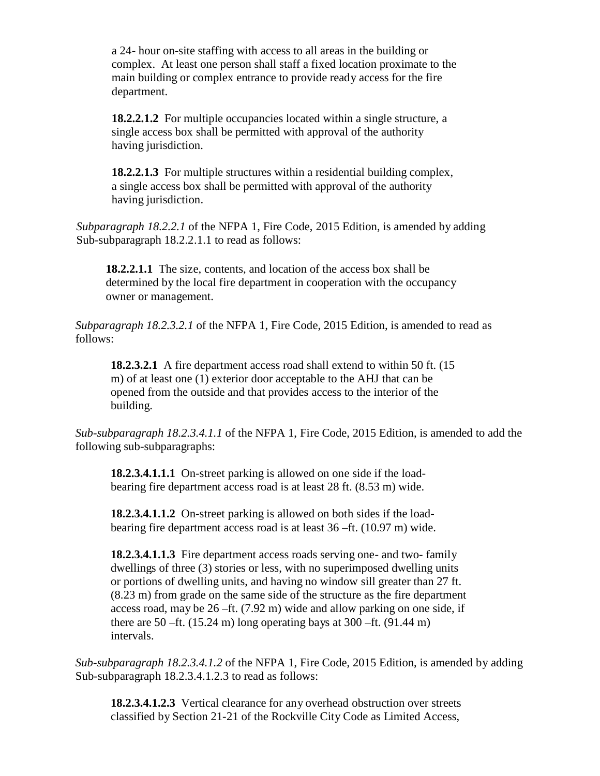a 24- hour on-site staffing with access to all areas in the building or complex. At least one person shall staff a fixed location proximate to the main building or complex entrance to provide ready access for the fire department.

**18.2.2.1.2** For multiple occupancies located within a single structure, a single access box shall be permitted with approval of the authority having jurisdiction.

**18.2.2.1.3** For multiple structures within a residential building complex, a single access box shall be permitted with approval of the authority having jurisdiction.

*Subparagraph 18.2.2.1* of the NFPA 1, Fire Code, 2015 Edition, is amended by adding Sub-subparagraph 18.2.2.1.1 to read as follows:

**18.2.2.1.1** The size, contents, and location of the access box shall be determined by the local fire department in cooperation with the occupancy owner or management.

*Subparagraph 18.2.3.2.1* of the NFPA 1, Fire Code, 2015 Edition, is amended to read as follows:

**18.2.3.2.1** A fire department access road shall extend to within 50 ft. (15 m) of at least one (1) exterior door acceptable to the AHJ that can be opened from the outside and that provides access to the interior of the building.

*Sub-subparagraph 18.2.3.4.1.1* of the NFPA 1, Fire Code, 2015 Edition, is amended to add the following sub-subparagraphs:

**18.2.3.4.1.1.1** On-street parking is allowed on one side if the loadbearing fire department access road is at least 28 ft. (8.53 m) wide.

**18.2.3.4.1.1.2** On-street parking is allowed on both sides if the loadbearing fire department access road is at least 36 –ft. (10.97 m) wide.

**18.2.3.4.1.1.3** Fire department access roads serving one- and two- family dwellings of three (3) stories or less, with no superimposed dwelling units or portions of dwelling units, and having no window sill greater than 27 ft. (8.23 m) from grade on the same side of the structure as the fire department access road, may be 26 –ft. (7.92 m) wide and allow parking on one side, if there are 50 –ft.  $(15.24 \text{ m})$  long operating bays at 300 –ft.  $(91.44 \text{ m})$ intervals.

*Sub-subparagraph 18.2.3.4.1.2* of the NFPA 1, Fire Code, 2015 Edition, is amended by adding Sub-subparagraph 18.2.3.4.1.2.3 to read as follows:

**18.2.3.4.1.2.3** Vertical clearance for any overhead obstruction over streets classified by Section 21-21 of the Rockville City Code as Limited Access,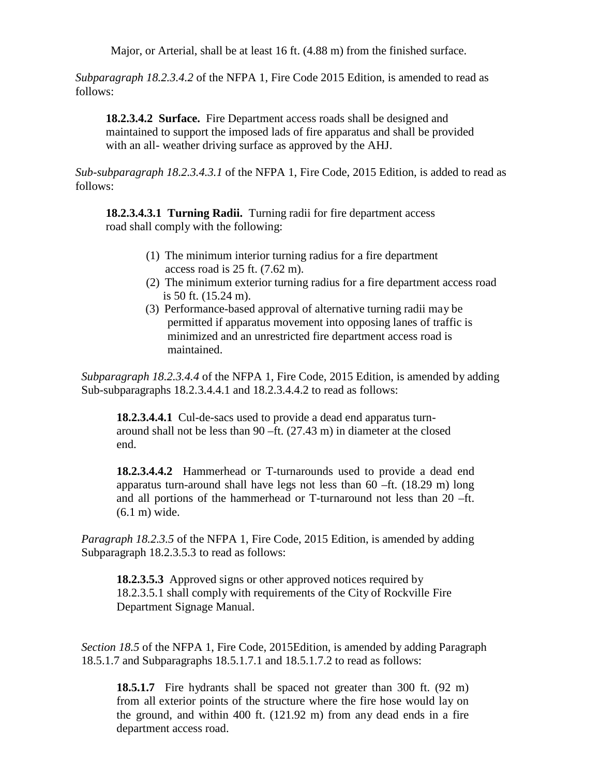Major, or Arterial, shall be at least 16 ft. (4.88 m) from the finished surface.

*Subparagraph 18.2.3.4.2* of the NFPA 1, Fire Code 2015 Edition, is amended to read as follows:

**18.2.3.4.2 Surface.** Fire Department access roads shall be designed and maintained to support the imposed lads of fire apparatus and shall be provided with an all- weather driving surface as approved by the AHJ.

*Sub-subparagraph 18.2.3.4.3.1* of the NFPA 1, Fire Code, 2015 Edition, is added to read as follows:

**18.2.3.4.3.1 Turning Radii.** Turning radii for fire department access road shall comply with the following:

- (1) The minimum interior turning radius for a fire department access road is 25 ft. (7.62 m).
- (2) The minimum exterior turning radius for a fire department access road is 50 ft. (15.24 m).
- (3) Performance-based approval of alternative turning radii may be permitted if apparatus movement into opposing lanes of traffic is minimized and an unrestricted fire department access road is maintained.

*Subparagraph 18.2.3.4.4* of the NFPA 1, Fire Code, 2015 Edition, is amended by adding Sub-subparagraphs 18.2.3.4.4.1 and 18.2.3.4.4.2 to read as follows:

**18.2.3.4.4.1** Cul-de-sacs used to provide a dead end apparatus turnaround shall not be less than 90 –ft. (27.43 m) in diameter at the closed end.

**18.2.3.4.4.2** Hammerhead or T-turnarounds used to provide a dead end apparatus turn-around shall have legs not less than 60 –ft. (18.29 m) long and all portions of the hammerhead or T-turnaround not less than 20 –ft. (6.1 m) wide.

*Paragraph 18.2.3.5* of the NFPA 1, Fire Code, 2015 Edition, is amended by adding Subparagraph 18.2.3.5.3 to read as follows:

**18.2.3.5.3** Approved signs or other approved notices required by 18.2.3.5.1 shall comply with requirements of the City of Rockville Fire Department Signage Manual.

*Section 18.5* of the NFPA 1, Fire Code, 2015Edition, is amended by adding Paragraph 18.5.1.7 and Subparagraphs 18.5.1.7.1 and 18.5.1.7.2 to read as follows:

**18.5.1.7** Fire hydrants shall be spaced not greater than 300 ft. (92 m) from all exterior points of the structure where the fire hose would lay on the ground, and within 400 ft. (121.92 m) from any dead ends in a fire department access road.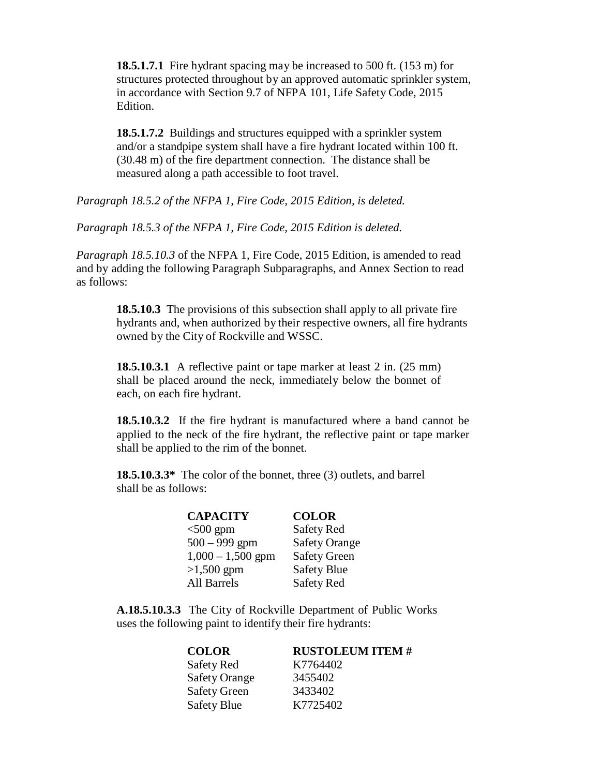**18.5.1.7.1** Fire hydrant spacing may be increased to 500 ft. (153 m) for structures protected throughout by an approved automatic sprinkler system, in accordance with Section 9.7 of NFPA 101, Life Safety Code, 2015 Edition.

**18.5.1.7.2** Buildings and structures equipped with a sprinkler system and/or a standpipe system shall have a fire hydrant located within 100 ft. (30.48 m) of the fire department connection. The distance shall be measured along a path accessible to foot travel.

*Paragraph 18.5.2 of the NFPA 1, Fire Code, 2015 Edition, is deleted.* 

*Paragraph 18.5.3 of the NFPA 1, Fire Code, 2015 Edition is deleted.*

*Paragraph 18.5.10.3* of the NFPA 1, Fire Code, 2015 Edition, is amended to read and by adding the following Paragraph Subparagraphs, and Annex Section to read as follows:

> **18.5.10.3** The provisions of this subsection shall apply to all private fire hydrants and, when authorized by their respective owners, all fire hydrants owned by the City of Rockville and WSSC.

**18.5.10.3.1** A reflective paint or tape marker at least 2 in. (25 mm) shall be placed around the neck, immediately below the bonnet of each, on each fire hydrant.

**18.5.10.3.2** If the fire hydrant is manufactured where a band cannot be applied to the neck of the fire hydrant, the reflective paint or tape marker shall be applied to the rim of the bonnet.

**18.5.10.3.3\*** The color of the bonnet, three (3) outlets, and barrel shall be as follows:

> **CAPACITY COLOR** <500 gpm Safety Red 500 – 999 gpm Safety Orange 1,000 – 1,500 gpm Safety Green >1,500 gpm Safety Blue All Barrels Safety Red

**A.18.5.10.3.3** The City of Rockville Department of Public Works uses the following paint to identify their fire hydrants:

Safety Red K7764402 Safety Orange 3455402 Safety Green 3433402 Safety Blue K7725402

#### **COLOR RUSTOLEUM ITEM #**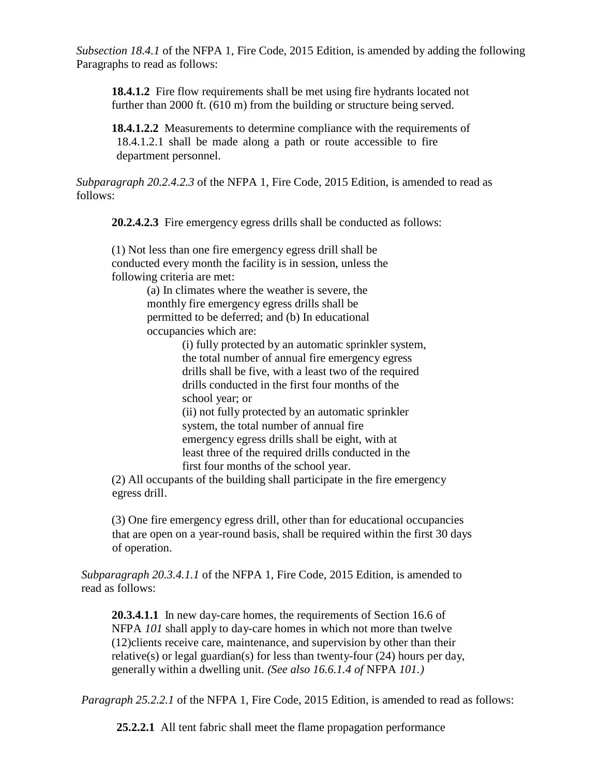*Subsection 18.4.1* of the NFPA 1, Fire Code, 2015 Edition, is amended by adding the following Paragraphs to read as follows:

**18.4.1.2** Fire flow requirements shall be met using fire hydrants located not further than 2000 ft. (610 m) from the building or structure being served.

**18.4.1.2.2** Measurements to determine compliance with the requirements of 18.4.1.2.1 shall be made along a path or route accessible to fire department personnel.

*Subparagraph 20.2.4.2.3* of the NFPA 1, Fire Code, 2015 Edition, is amended to read as follows:

**20.2.4.2.3** Fire emergency egress drills shall be conducted as follows:

(1) Not less than one fire emergency egress drill shall be conducted every month the facility is in session, unless the following criteria are met:

(a) In climates where the weather is severe, the monthly fire emergency egress drills shall be permitted to be deferred; and (b) In educational occupancies which are:

> (i) fully protected by an automatic sprinkler system, the total number of annual fire emergency egress drills shall be five, with a least two of the required drills conducted in the first four months of the school year; or (ii) not fully protected by an automatic sprinkler

system, the total number of annual fire emergency egress drills shall be eight, with at least three of the required drills conducted in the first four months of the school year.

(2) All occupants of the building shall participate in the fire emergency egress drill.

(3) One fire emergency egress drill, other than for educational occupancies that are open on a year-round basis, shall be required within the first 30 days of operation.

*Subparagraph 20.3.4.1.1* of the NFPA 1, Fire Code, 2015 Edition, is amended to read as follows:

**20.3.4.1.1** In new day-care homes, the requirements of Section 16.6 of NFPA *101* shall apply to day-care homes in which not more than twelve (12)clients receive care, maintenance, and supervision by other than their relative(s) or legal guardian(s) for less than twenty-four  $(24)$  hours per day, generally within a dwelling unit. *(See also 16.6.1.4 of* NFPA *101.)*

*Paragraph 25.2.2.1* of the NFPA 1, Fire Code, 2015 Edition, is amended to read as follows:

**25.2.2.1** All tent fabric shall meet the flame propagation performance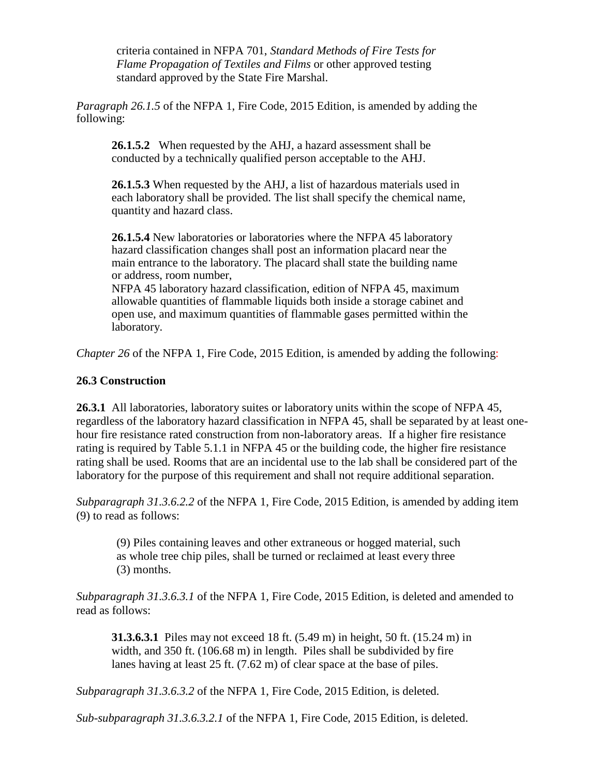criteria contained in NFPA 701, *Standard Methods of Fire Tests for Flame Propagation of Textiles and Films* or other approved testing standard approved by the State Fire Marshal.

*Paragraph 26.1.5* of the NFPA 1, Fire Code, 2015 Edition, is amended by adding the following:

**26.1.5.2** When requested by the AHJ, a hazard assessment shall be conducted by a technically qualified person acceptable to the AHJ.

**26.1.5.3** When requested by the AHJ, a list of hazardous materials used in each laboratory shall be provided. The list shall specify the chemical name, quantity and hazard class.

**26.1.5.4** New laboratories or laboratories where the NFPA 45 laboratory hazard classification changes shall post an information placard near the main entrance to the laboratory. The placard shall state the building name or address, room number,

NFPA 45 laboratory hazard classification, edition of NFPA 45, maximum allowable quantities of flammable liquids both inside a storage cabinet and open use, and maximum quantities of flammable gases permitted within the laboratory.

*Chapter 26* of the NFPA 1, Fire Code, 2015 Edition, is amended by adding the following:

## **26.3 Construction**

**26.3.1** All laboratories, laboratory suites or laboratory units within the scope of NFPA 45, regardless of the laboratory hazard classification in NFPA 45, shall be separated by at least onehour fire resistance rated construction from non-laboratory areas. If a higher fire resistance rating is required by Table 5.1.1 in NFPA 45 or the building code, the higher fire resistance rating shall be used. Rooms that are an incidental use to the lab shall be considered part of the laboratory for the purpose of this requirement and shall not require additional separation.

*Subparagraph 31.3.6.2.2* of the NFPA 1, Fire Code, 2015 Edition, is amended by adding item (9) to read as follows:

(9) Piles containing leaves and other extraneous or hogged material, such as whole tree chip piles, shall be turned or reclaimed at least every three (3) months.

*Subparagraph 31.3.6.3.1* of the NFPA 1, Fire Code, 2015 Edition, is deleted and amended to read as follows:

**31.3.6.3.1** Piles may not exceed 18 ft. (5.49 m) in height, 50 ft. (15.24 m) in width, and 350 ft. (106.68 m) in length. Piles shall be subdivided by fire lanes having at least 25 ft. (7.62 m) of clear space at the base of piles.

*Subparagraph 31.3.6.3.2* of the NFPA 1, Fire Code, 2015 Edition, is deleted.

*Sub-subparagraph 31.3.6.3.2.1* of the NFPA 1, Fire Code, 2015 Edition, is deleted.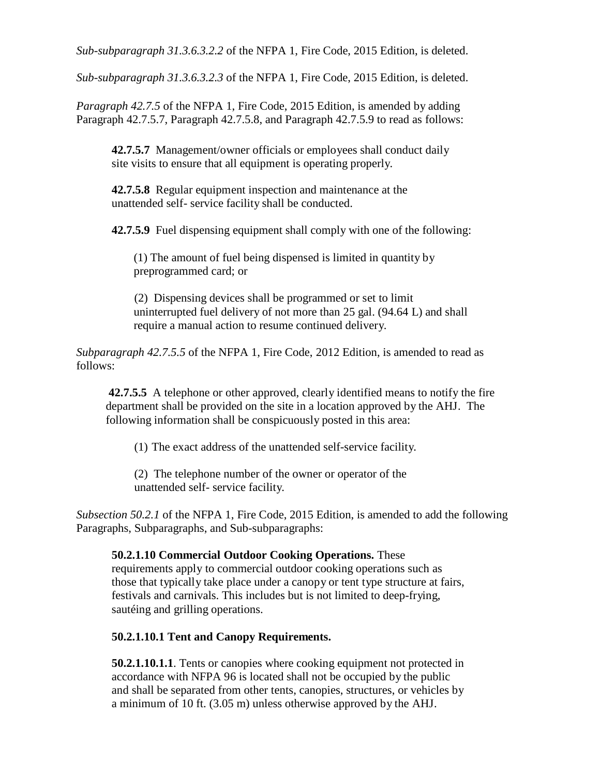*Sub-subparagraph 31.3.6.3.2.2* of the NFPA 1, Fire Code, 2015 Edition, is deleted.

*Sub-subparagraph 31.3.6.3.2.3* of the NFPA 1, Fire Code, 2015 Edition, is deleted.

*Paragraph 42.7.5* of the NFPA 1, Fire Code, 2015 Edition, is amended by adding Paragraph 42.7.5.7, Paragraph 42.7.5.8, and Paragraph 42.7.5.9 to read as follows:

**42.7.5.7** Management/owner officials or employees shall conduct daily site visits to ensure that all equipment is operating properly.

**42.7.5.8** Regular equipment inspection and maintenance at the unattended self- service facility shall be conducted.

**42.7.5.9** Fuel dispensing equipment shall comply with one of the following:

(1) The amount of fuel being dispensed is limited in quantity by preprogrammed card; or

(2) Dispensing devices shall be programmed or set to limit uninterrupted fuel delivery of not more than 25 gal. (94.64 L) and shall require a manual action to resume continued delivery.

*Subparagraph 42.7.5.5* of the NFPA 1, Fire Code, 2012 Edition, is amended to read as follows:

**42.7.5.5** A telephone or other approved, clearly identified means to notify the fire department shall be provided on the site in a location approved by the AHJ. The following information shall be conspicuously posted in this area:

(1) The exact address of the unattended self-service facility.

(2) The telephone number of the owner or operator of the unattended self- service facility.

*Subsection 50.2.1* of the NFPA 1, Fire Code, 2015 Edition, is amended to add the following Paragraphs, Subparagraphs, and Sub-subparagraphs:

**50.2.1.10 Commercial Outdoor Cooking Operations.** These requirements apply to commercial outdoor cooking operations such as those that typically take place under a canopy or tent type structure at fairs, festivals and carnivals. This includes but is not limited to deep-frying, sautéing and grilling operations.

# **50.2.1.10.1 Tent and Canopy Requirements.**

**50.2.1.10.1.1**. Tents or canopies where cooking equipment not protected in accordance with NFPA 96 is located shall not be occupied by the public and shall be separated from other tents, canopies, structures, or vehicles by a minimum of 10 ft. (3.05 m) unless otherwise approved by the AHJ.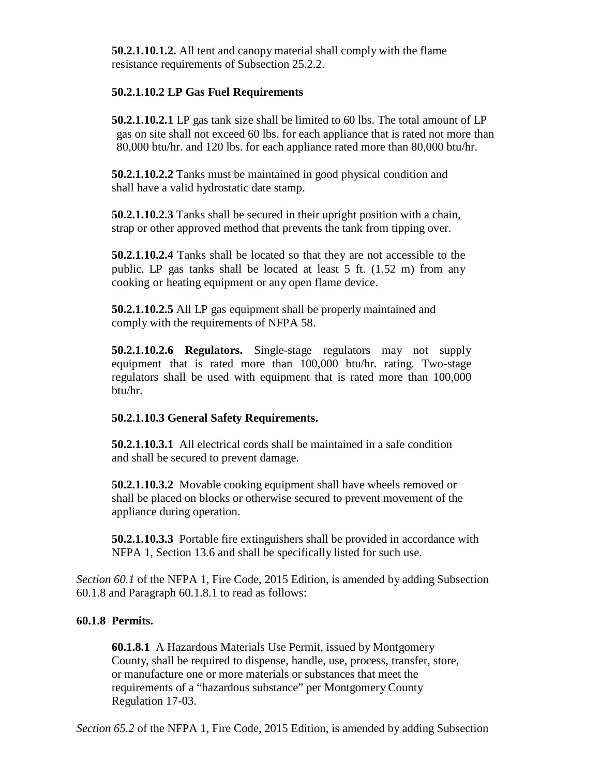**50.2.1.10.1.2.** All tent and canopy material shall comply with the flame resistance requirements of Subsection 25.2.2.

## **50.2.1.10.2 LP Gas Fuel Requirements**

**50.2.1.10.2.1** LP gas tank size shall be limited to 60 lbs. The total amount of LP gas on site shall not exceed 60 lbs. for each appliance that is rated not more than 80,000 btu/hr. and 120 lbs. for each appliance rated more than 80,000 btu/hr.

**50.2.1.10.2.2** Tanks must be maintained in good physical condition and shall have a valid hydrostatic date stamp.

**50.2.1.10.2.3** Tanks shall be secured in their upright position with a chain, strap or other approved method that prevents the tank from tipping over.

**50.2.1.10.2.4** Tanks shall be located so that they are not accessible to the public. LP gas tanks shall be located at least 5 ft. (1.52 m) from any cooking or heating equipment or any open flame device.

**50.2.1.10.2.5** All LP gas equipment shall be properly maintained and comply with the requirements of NFPA 58.

**50.2.1.10.2.6 Regulators.** Single-stage regulators may not supply equipment that is rated more than 100,000 btu/hr. rating. Two-stage regulators shall be used with equipment that is rated more than 100,000 btu/hr.

# **50.2.1.10.3 General Safety Requirements.**

**50.2.1.10.3.1** All electrical cords shall be maintained in a safe condition and shall be secured to prevent damage.

**50.2.1.10.3.2** Movable cooking equipment shall have wheels removed or shall be placed on blocks or otherwise secured to prevent movement of the appliance during operation.

**50.2.1.10.3.3** Portable fire extinguishers shall be provided in accordance with NFPA 1, Section 13.6 and shall be specifically listed for such use.

*Section 60.1* of the NFPA 1, Fire Code, 2015 Edition, is amended by adding Subsection 60.1.8 and Paragraph 60.1.8.1 to read as follows:

# **60.1.8 Permits.**

**60.1.8.1** A Hazardous Materials Use Permit, issued by Montgomery County, shall be required to dispense, handle, use, process, transfer, store, or manufacture one or more materials or substances that meet the requirements of a "hazardous substance" per Montgomery County Regulation 17-03.

*Section 65.2* of the NFPA 1, Fire Code, 2015 Edition, is amended by adding Subsection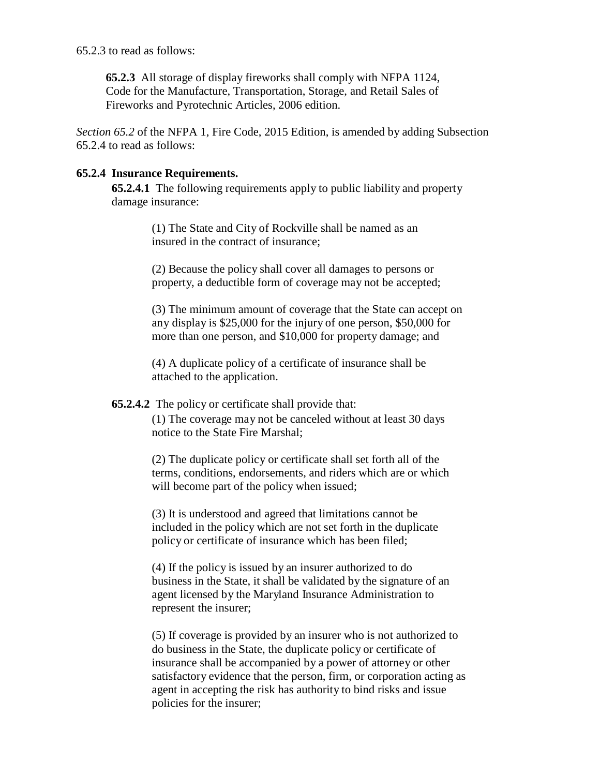65.2.3 to read as follows:

**65.2.3** All storage of display fireworks shall comply with NFPA 1124, Code for the Manufacture, Transportation, Storage, and Retail Sales of Fireworks and Pyrotechnic Articles, 2006 edition.

*Section 65.2* of the NFPA 1, Fire Code, 2015 Edition, is amended by adding Subsection 65.2.4 to read as follows:

# **65.2.4 Insurance Requirements.**

**65.2.4.1** The following requirements apply to public liability and property damage insurance:

> (1) The State and City of Rockville shall be named as an insured in the contract of insurance;

(2) Because the policy shall cover all damages to persons or property, a deductible form of coverage may not be accepted;

(3) The minimum amount of coverage that the State can accept on any display is \$25,000 for the injury of one person, \$50,000 for more than one person, and \$10,000 for property damage; and

(4) A duplicate policy of a certificate of insurance shall be attached to the application.

### **65.2.4.2** The policy or certificate shall provide that:

(1) The coverage may not be canceled without at least 30 days notice to the State Fire Marshal;

(2) The duplicate policy or certificate shall set forth all of the terms, conditions, endorsements, and riders which are or which will become part of the policy when issued;

(3) It is understood and agreed that limitations cannot be included in the policy which are not set forth in the duplicate policy or certificate of insurance which has been filed;

(4) If the policy is issued by an insurer authorized to do business in the State, it shall be validated by the signature of an agent licensed by the Maryland Insurance Administration to represent the insurer;

(5) If coverage is provided by an insurer who is not authorized to do business in the State, the duplicate policy or certificate of insurance shall be accompanied by a power of attorney or other satisfactory evidence that the person, firm, or corporation acting as agent in accepting the risk has authority to bind risks and issue policies for the insurer;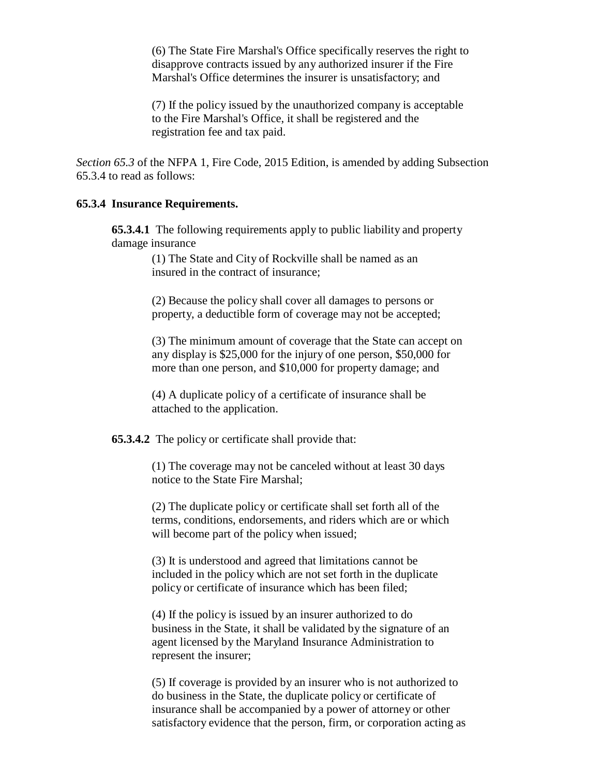(6) The State Fire Marshal's Office specifically reserves the right to disapprove contracts issued by any authorized insurer if the Fire Marshal's Office determines the insurer is unsatisfactory; and

(7) If the policy issued by the unauthorized company is acceptable to the Fire Marshal's Office, it shall be registered and the registration fee and tax paid.

*Section 65.3* of the NFPA 1, Fire Code, 2015 Edition, is amended by adding Subsection 65.3.4 to read as follows:

#### **65.3.4 Insurance Requirements.**

**65.3.4.1** The following requirements apply to public liability and property damage insurance

> (1) The State and City of Rockville shall be named as an insured in the contract of insurance;

(2) Because the policy shall cover all damages to persons or property, a deductible form of coverage may not be accepted;

(3) The minimum amount of coverage that the State can accept on any display is \$25,000 for the injury of one person, \$50,000 for more than one person, and \$10,000 for property damage; and

(4) A duplicate policy of a certificate of insurance shall be attached to the application.

**65.3.4.2** The policy or certificate shall provide that:

(1) The coverage may not be canceled without at least 30 days notice to the State Fire Marshal;

(2) The duplicate policy or certificate shall set forth all of the terms, conditions, endorsements, and riders which are or which will become part of the policy when issued;

(3) It is understood and agreed that limitations cannot be included in the policy which are not set forth in the duplicate policy or certificate of insurance which has been filed;

(4) If the policy is issued by an insurer authorized to do business in the State, it shall be validated by the signature of an agent licensed by the Maryland Insurance Administration to represent the insurer;

(5) If coverage is provided by an insurer who is not authorized to do business in the State, the duplicate policy or certificate of insurance shall be accompanied by a power of attorney or other satisfactory evidence that the person, firm, or corporation acting as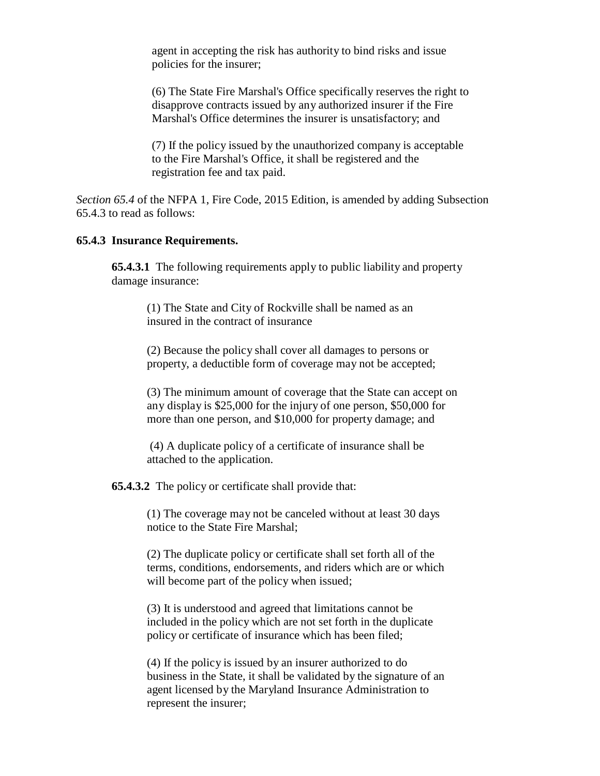agent in accepting the risk has authority to bind risks and issue policies for the insurer;

(6) The State Fire Marshal's Office specifically reserves the right to disapprove contracts issued by any authorized insurer if the Fire Marshal's Office determines the insurer is unsatisfactory; and

(7) If the policy issued by the unauthorized company is acceptable to the Fire Marshal's Office, it shall be registered and the registration fee and tax paid.

*Section 65.4* of the NFPA 1, Fire Code, 2015 Edition, is amended by adding Subsection 65.4.3 to read as follows:

#### **65.4.3 Insurance Requirements.**

**65.4.3.1** The following requirements apply to public liability and property damage insurance:

(1) The State and City of Rockville shall be named as an insured in the contract of insurance

(2) Because the policy shall cover all damages to persons or property, a deductible form of coverage may not be accepted;

(3) The minimum amount of coverage that the State can accept on any display is \$25,000 for the injury of one person, \$50,000 for more than one person, and \$10,000 for property damage; and

(4) A duplicate policy of a certificate of insurance shall be attached to the application.

**65.4.3.2** The policy or certificate shall provide that:

(1) The coverage may not be canceled without at least 30 days notice to the State Fire Marshal;

(2) The duplicate policy or certificate shall set forth all of the terms, conditions, endorsements, and riders which are or which will become part of the policy when issued;

(3) It is understood and agreed that limitations cannot be included in the policy which are not set forth in the duplicate policy or certificate of insurance which has been filed;

(4) If the policy is issued by an insurer authorized to do business in the State, it shall be validated by the signature of an agent licensed by the Maryland Insurance Administration to represent the insurer;